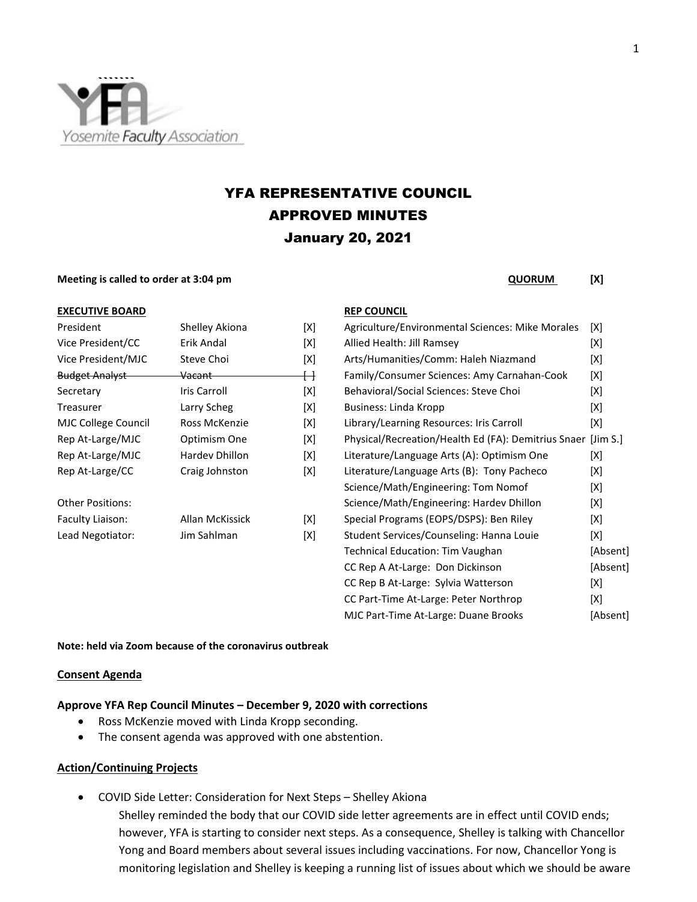

# YFA REPRESENTATIVE COUNCIL APPROVED MINUTES January 20, 2021

#### **Meeting is called to order at 3:04 pm CONSUM <b>CONSUM** [X]

| <b>EXECUTIVE BOARD</b> | <b>REP COUNCIL</b>       |                               |
|------------------------|--------------------------|-------------------------------|
| .                      | $\sim$ 1 $\sim$ $\sim$ 1 | $\lambda$ $\lambda$ $\lambda$ |

| President               | Shelley Akiona     | ΙXΙ |
|-------------------------|--------------------|-----|
| Vice President/CC       | Erik Andal         | [X] |
| Vice President/MJC      | Steve Choi         | [X] |
| <b>Budget Analyst</b>   | <del>Vacant-</del> | ↔   |
| Secretary               | Iris Carroll       | [X] |
| Treasurer               | Larry Scheg        | [X] |
| MJC College Council     | Ross McKenzie      | [X] |
| Rep At-Large/MJC        | Optimism One       | [X] |
| Rep At-Large/MJC        | Hardev Dhillon     | [X] |
| Rep At-Large/CC         | Craig Johnston     | [X] |
| <b>Other Positions:</b> |                    |     |
| Faculty Liaison:        | Allan McKissick    | [X] |
| Lead Negotiator:        | Jim Sahlman        | [X] |
|                         |                    |     |

| President                  | Shelley Akiona      | [X]                     | Agriculture/Environmental Sciences: Mike Morales    | [X]         |
|----------------------------|---------------------|-------------------------|-----------------------------------------------------|-------------|
| Vice President/CC          | Erik Andal          | [X]                     | Allied Health: Jill Ramsey                          | [X]         |
| Vice President/MJC         | Steve Choi          | [X]                     | Arts/Humanities/Comm: Haleh Niazmand                | [X]         |
| <b>Budget Analyst</b>      | <del>Vacant -</del> | $\overline{\mathsf{H}}$ | Family/Consumer Sciences: Amy Carnahan-Cook         | [X]         |
| Secretary                  | Iris Carroll        | [X]                     | Behavioral/Social Sciences: Steve Choi              | [X]         |
| Treasurer                  | Larry Scheg         | [X]                     | Business: Linda Kropp                               | [X]         |
| <b>MJC College Council</b> | Ross McKenzie       | [X]                     | Library/Learning Resources: Iris Carroll            | [X]         |
| Rep At-Large/MJC           | Optimism One        | [X]                     | Physical/Recreation/Health Ed (FA): Demitrius Snaer | [Jim $S.$ ] |
| Rep At-Large/MJC           | Hardev Dhillon      | [X]                     | Literature/Language Arts (A): Optimism One          | [X]         |
| Rep At-Large/CC            | Craig Johnston      | [X]                     | Literature/Language Arts (B): Tony Pacheco          | [X]         |
|                            |                     |                         | Science/Math/Engineering: Tom Nomof                 | [X]         |
| Other Positions:           |                     |                         | Science/Math/Engineering: Hardev Dhillon            | [X]         |
| Faculty Liaison:           | Allan McKissick     | [X]                     | Special Programs (EOPS/DSPS): Ben Riley             | [X]         |
| Lead Negotiator:           | Jim Sahlman         | [X]                     | Student Services/Counseling: Hanna Louie            | [X]         |
|                            |                     |                         | <b>Technical Education: Tim Vaughan</b>             | [Absent]    |
|                            |                     |                         | CC Rep A At-Large: Don Dickinson                    | [Absent]    |
|                            |                     |                         | CC Rep B At-Large: Sylvia Watterson                 | [X]         |
|                            |                     |                         | CC Part-Time At-Large: Peter Northrop               | [X]         |
|                            |                     |                         | MJC Part-Time At-Large: Duane Brooks                | [Absent]    |
|                            |                     |                         |                                                     |             |

### **Note: held via Zoom because of the coronavirus outbreak**

### **Consent Agenda**

## **Approve YFA Rep Council Minutes – December 9, 2020 with corrections**

- Ross McKenzie moved with Linda Kropp seconding.
- The consent agenda was approved with one abstention.

## **Action/Continuing Projects**

• COVID Side Letter: Consideration for Next Steps – Shelley Akiona

Shelley reminded the body that our COVID side letter agreements are in effect until COVID ends; however, YFA is starting to consider next steps. As a consequence, Shelley is talking with Chancellor Yong and Board members about several issues including vaccinations. For now, Chancellor Yong is monitoring legislation and Shelley is keeping a running list of issues about which we should be aware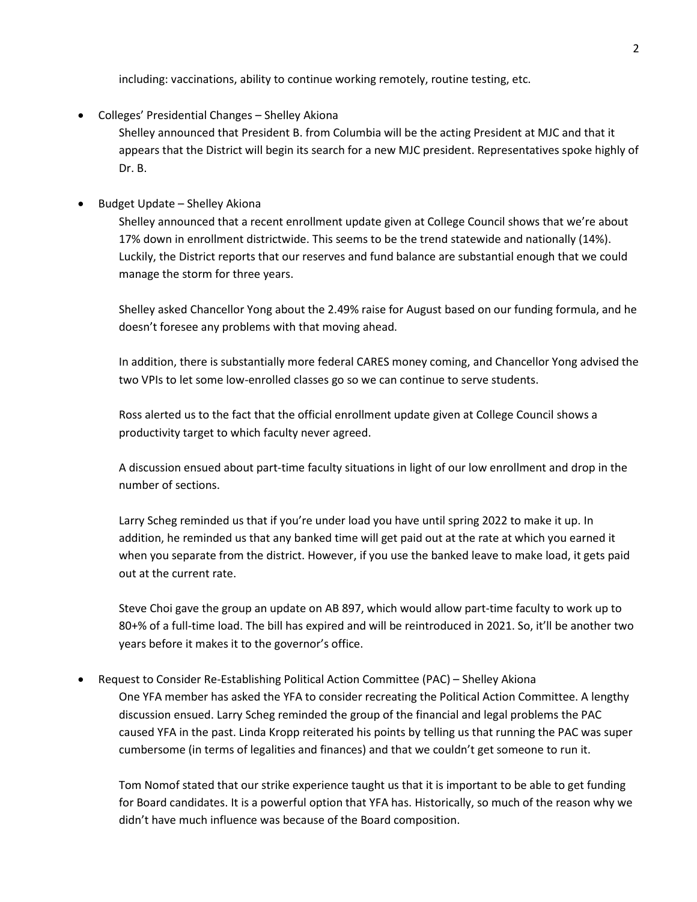including: vaccinations, ability to continue working remotely, routine testing, etc.

• Colleges' Presidential Changes – Shelley Akiona

Shelley announced that President B. from Columbia will be the acting President at MJC and that it appears that the District will begin its search for a new MJC president. Representatives spoke highly of Dr. B.

• Budget Update – Shelley Akiona

Shelley announced that a recent enrollment update given at College Council shows that we're about 17% down in enrollment districtwide. This seems to be the trend statewide and nationally (14%). Luckily, the District reports that our reserves and fund balance are substantial enough that we could manage the storm for three years.

Shelley asked Chancellor Yong about the 2.49% raise for August based on our funding formula, and he doesn't foresee any problems with that moving ahead.

In addition, there is substantially more federal CARES money coming, and Chancellor Yong advised the two VPIs to let some low-enrolled classes go so we can continue to serve students.

Ross alerted us to the fact that the official enrollment update given at College Council shows a productivity target to which faculty never agreed.

A discussion ensued about part-time faculty situations in light of our low enrollment and drop in the number of sections.

Larry Scheg reminded us that if you're under load you have until spring 2022 to make it up. In addition, he reminded us that any banked time will get paid out at the rate at which you earned it when you separate from the district. However, if you use the banked leave to make load, it gets paid out at the current rate.

Steve Choi gave the group an update on AB 897, which would allow part-time faculty to work up to 80+% of a full-time load. The bill has expired and will be reintroduced in 2021. So, it'll be another two years before it makes it to the governor's office.

• Request to Consider Re-Establishing Political Action Committee (PAC) – Shelley Akiona One YFA member has asked the YFA to consider recreating the Political Action Committee. A lengthy discussion ensued. Larry Scheg reminded the group of the financial and legal problems the PAC caused YFA in the past. Linda Kropp reiterated his points by telling us that running the PAC was super cumbersome (in terms of legalities and finances) and that we couldn't get someone to run it.

Tom Nomof stated that our strike experience taught us that it is important to be able to get funding for Board candidates. It is a powerful option that YFA has. Historically, so much of the reason why we didn't have much influence was because of the Board composition.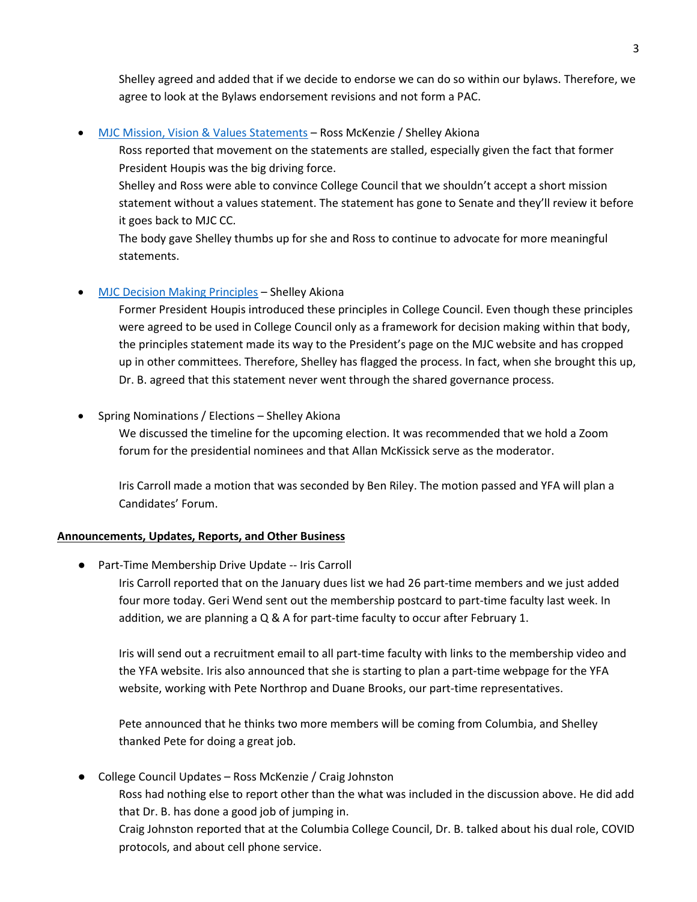Shelley agreed and added that if we decide to endorse we can do so within our bylaws. Therefore, we agree to look at the Bylaws endorsement revisions and not form a PAC.

• [MJC Mission, Vision & Values Statements](https://drive.google.com/file/d/1k5SQA6vi6e91Ts8ds4d9YEKpV8bXSUj7/view?usp=sharing) – Ross McKenzie / Shelley Akiona

Ross reported that movement on the statements are stalled, especially given the fact that former President Houpis was the big driving force.

Shelley and Ross were able to convince College Council that we shouldn't accept a short mission statement without a values statement. The statement has gone to Senate and they'll review it before it goes back to MJC CC.

The body gave Shelley thumbs up for she and Ross to continue to advocate for more meaningful statements.

# • [MJC Decision Making Principles](https://drive.google.com/file/d/1oPITIfoVtJmZVurKsDnq4YQCWsPzlywE/view?usp=sharing) – Shelley Akiona

Former President Houpis introduced these principles in College Council. Even though these principles were agreed to be used in College Council only as a framework for decision making within that body, the principles statement made its way to the President's page on the MJC website and has cropped up in other committees. Therefore, Shelley has flagged the process. In fact, when she brought this up, Dr. B. agreed that this statement never went through the shared governance process.

# • Spring Nominations / Elections – Shelley Akiona

We discussed the timeline for the upcoming election. It was recommended that we hold a Zoom forum for the presidential nominees and that Allan McKissick serve as the moderator.

Iris Carroll made a motion that was seconded by Ben Riley. The motion passed and YFA will plan a Candidates' Forum.

## **Announcements, Updates, Reports, and Other Business**

● Part-Time Membership Drive Update -- Iris Carroll

Iris Carroll reported that on the January dues list we had 26 part-time members and we just added four more today. Geri Wend sent out the membership postcard to part-time faculty last week. In addition, we are planning a Q & A for part-time faculty to occur after February 1.

Iris will send out a recruitment email to all part-time faculty with links to the membership video and the YFA website. Iris also announced that she is starting to plan a part-time webpage for the YFA website, working with Pete Northrop and Duane Brooks, our part-time representatives.

Pete announced that he thinks two more members will be coming from Columbia, and Shelley thanked Pete for doing a great job.

● College Council Updates – Ross McKenzie / Craig Johnston

Ross had nothing else to report other than the what was included in the discussion above. He did add that Dr. B. has done a good job of jumping in.

Craig Johnston reported that at the Columbia College Council, Dr. B. talked about his dual role, COVID protocols, and about cell phone service.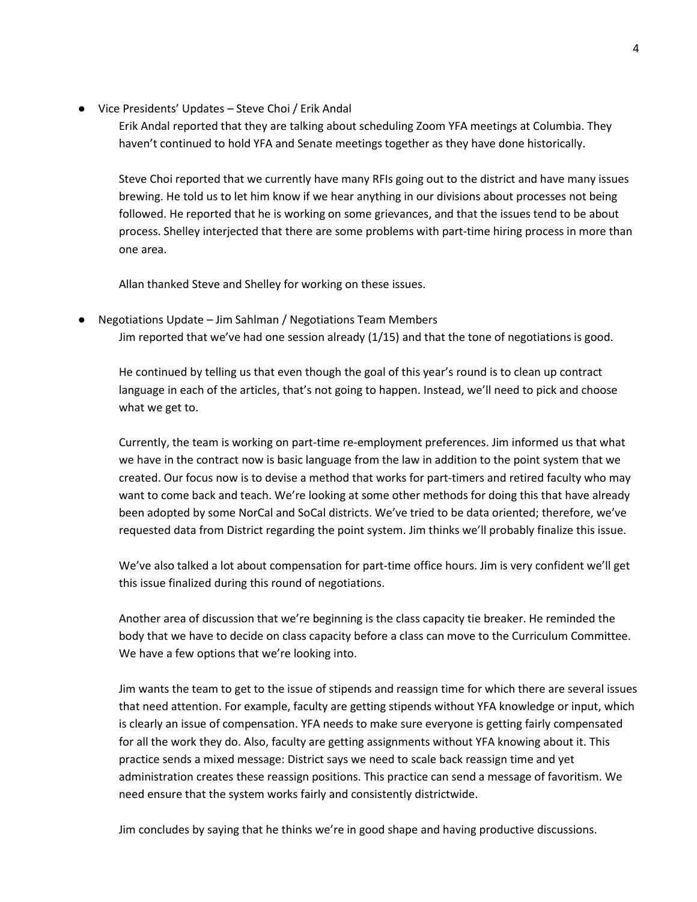● Vice Presidents' Updates – Steve Choi / Erik Andal

Erik Andal reported that they are talking about scheduling Zoom YFA meetings at Columbia. They haven't continued to hold YFA and Senate meetings together as they have done historically.

Steve Choi reported that we currently have many RFIs going out to the district and have many issues brewing. He told us to let him know if we hear anything in our divisions about processes not being followed. He reported that he is working on some grievances, and that the issues tend to be about process. Shelley interjected that there are some problems with part-time hiring process in more than one area.

Allan thanked Steve and Shelley for working on these issues.

Negotiations Update – Jim Sahlman / Negotiations Team Members Jim reported that we've had one session already (1/15) and that the tone of negotiations is good.

He continued by telling us that even though the goal of this year's round is to clean up contract language in each of the articles, that's not going to happen. Instead, we'll need to pick and choose what we get to.

Currently, the team is working on part-time re-employment preferences. Jim informed us that what we have in the contract now is basic language from the law in addition to the point system that we created. Our focus now is to devise a method that works for part-timers and retired faculty who may want to come back and teach. We're looking at some other methods for doing this that have already been adopted by some NorCal and SoCal districts. We've tried to be data oriented; therefore, we've requested data from District regarding the point system. Jim thinks we'll probably finalize this issue.

We've also talked a lot about compensation for part-time office hours. Jim is very confident we'll get this issue finalized during this round of negotiations.

Another area of discussion that we're beginning is the class capacity tie breaker. He reminded the body that we have to decide on class capacity before a class can move to the Curriculum Committee. We have a few options that we're looking into.

Jim wants the team to get to the issue of stipends and reassign time for which there are several issues that need attention. For example, faculty are getting stipends without YFA knowledge or input, which is clearly an issue of compensation. YFA needs to make sure everyone is getting fairly compensated for all the work they do. Also, faculty are getting assignments without YFA knowing about it. This practice sends a mixed message: District says we need to scale back reassign time and yet administration creates these reassign positions. This practice can send a message of favoritism. We need ensure that the system works fairly and consistently districtwide.

Jim concludes by saying that he thinks we're in good shape and having productive discussions.